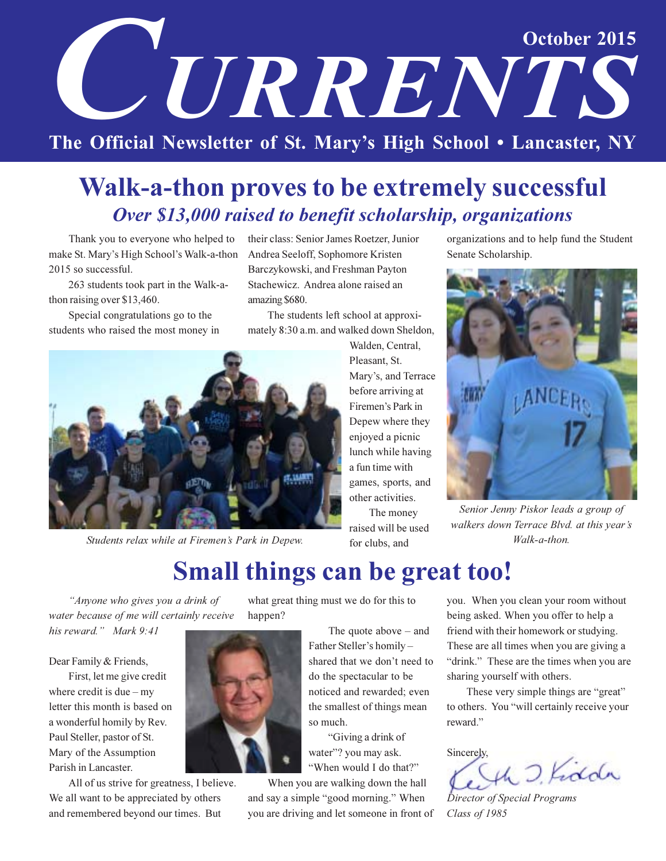# October 2015 **CETRRENTS** The Official Newsletter of St. Mary's High School . Lancaster, NY

## **Walk-a-thon proves to be extremely successful** Over \$13,000 raised to benefit scholarship, organizations

Thank you to everyone who helped to make St. Mary's High School's Walk-a-thon 2015 so successful.

263 students took part in the Walk-athon raising over \$13,460.

Special congratulations go to the students who raised the most money in

their class: Senior James Roetzer, Junior Andrea Seeloff, Sophomore Kristen Barczykowski, and Freshman Payton Stachewicz. Andrea alone raised an amazing \$680.

The students left school at approximately 8:30 a.m. and walked down Sheldon,



Students relax while at Firemen's Park in Depew.

Walden, Central, Pleasant, St. Mary's, and Terrace before arriving at Firemen's Park in Depew where they enjoyed a picnic lunch while having a fun time with games, sports, and other activities.

The money raised will be used for clubs, and

organizations and to help fund the Student Senate Scholarship.



Senior Jenny Piskor leads a group of walkers down Terrace Blvd. at this year's Walk-a-thon.

## **Small things can be great too!**

"Anyone who gives you a drink of water because of me will certainly receive his reward." Mark 9:41

Dear Family & Friends,

First, let me give credit where credit is due  $-$  my letter this month is based on a wonderful homily by Rev. Paul Steller, pastor of St. Mary of the Assumption Parish in Lancaster.

All of us strive for greatness, I believe. We all want to be appreciated by others and remembered beyond our times. But

what great thing must we do for this to happen?

> The quote above  $-$  and Father Steller's homilyshared that we don't need to do the spectacular to be noticed and rewarded; even the smallest of things mean so much.

"Giving a drink of water"? you may ask. "When would I do that?"

When you are walking down the hall and say a simple "good morning." When you are driving and let someone in front of you. When you clean your room without being asked. When you offer to help a friend with their homework or studying. These are all times when you are giving a "drink." These are the times when you are sharing yourself with others.

These very simple things are "great" to others. You "will certainly receive your reward."

Sincerely,

O. Kidda

Director of Special Programs Class of 1985

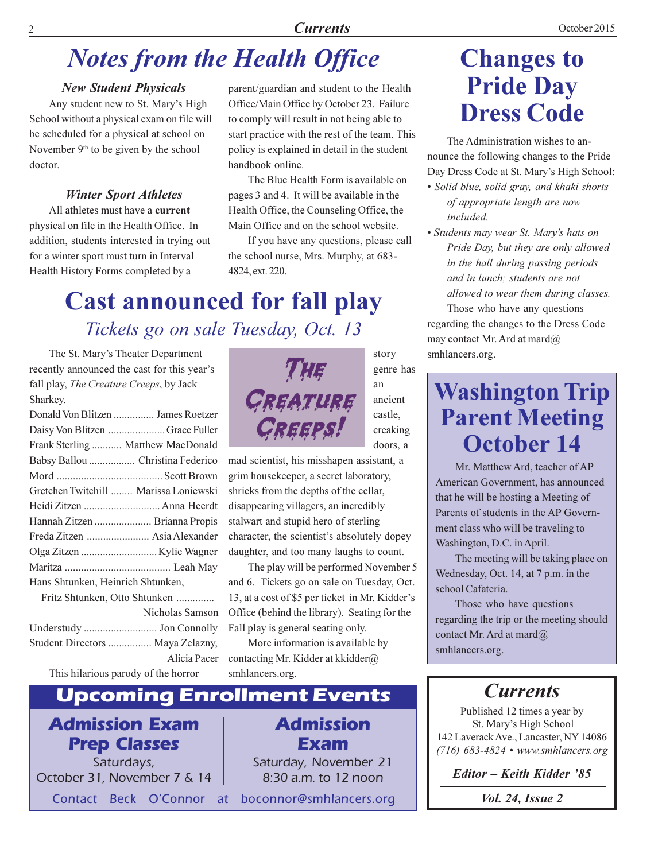## **Notes from the Health Office**

#### **New Student Physicals**

 $\overline{2}$ 

Any student new to St. Mary's High School without a physical exam on file will be scheduled for a physical at school on November 9<sup>th</sup> to be given by the school doctor

### **Winter Sport Athletes**

All athletes must have a current physical on file in the Health Office. In addition, students interested in trying out for a winter sport must turn in Interval Health History Forms completed by a

parent/guardian and student to the Health Office/Main Office by October 23. Failure to comply will result in not being able to start practice with the rest of the team. This policy is explained in detail in the student handbook online

The Blue Health Form is available on pages 3 and 4. It will be available in the Health Office, the Counseling Office, the Main Office and on the school website.

If you have any questions, please call the school nurse, Mrs. Murphy, at 683-4824, ext. 220.

## **Cast announced for fall play** Tickets go on sale Tuesday, Oct. 13

The St. Mary's Theater Department recently announced the cast for this year's fall play, The Creature Creeps, by Jack Sharkey.

|                                   | Donald Von Blitzen  James Roetzer     |  |
|-----------------------------------|---------------------------------------|--|
|                                   | Daisy Von Blitzen  Grace Fuller       |  |
|                                   | Frank Sterling  Matthew MacDonald     |  |
|                                   | Babsy Ballou  Christina Federico      |  |
|                                   |                                       |  |
|                                   | Gretchen Twitchill  Marissa Loniewski |  |
|                                   |                                       |  |
|                                   | Hannah Zitzen  Brianna Propis         |  |
|                                   | Freda Zitzen  Asia Alexander          |  |
|                                   |                                       |  |
|                                   |                                       |  |
| Hans Shtunken, Heinrich Shtunken, |                                       |  |
| Fritz Shtunken, Otto Shtunken     |                                       |  |
|                                   | Nicholas Samson                       |  |

| <b>NICHOIAS SAILISOIL</b>        |
|----------------------------------|
|                                  |
| Student Directors  Maya Zelazny, |
| Alicia Pacer                     |

This hilarious parody of the horror

#### **Enrollment Events** Upcoming

## **Admission Exam Prep Classes**

Saturdays, October 31, November 7 & 14

Contact Beck O'Connor at

THE CREATURE CREEPS!

story genre has an ancient castle. creaking doors, a

mad scientist, his misshapen assistant, a grim housekeeper, a secret laboratory, shrieks from the depths of the cellar, disappearing villagers, an incredibly stalwart and stupid hero of sterling character, the scientist's absolutely dopey daughter, and too many laughs to count.

The play will be performed November 5 and 6. Tickets go on sale on Tuesday, Oct. 13, at a cost of \$5 per ticket in Mr. Kidder's Office (behind the library). Seating for the Fall play is general seating only.

More information is available by contacting Mr. Kidder at kkidder@ smhlancers.org.

## **Admission** Exam Saturday, November 21 8:30 a.m. to 12 noon

boconnor@smhlancers.org

## **Changes to Pride Day Dress Code**

The Administration wishes to announce the following changes to the Pride Day Dress Code at St. Mary's High School:

- Solid blue, solid gray, and khaki shorts of appropriate length are now included.
- · Students may wear St. Mary's hats on Pride Day, but they are only allowed in the hall during passing periods and in lunch: students are not allowed to wear them during classes.

Those who have any questions regarding the changes to the Dress Code may contact Mr. Ard at mard@ smhlancers.org.

## **Washington Trip Parent Meeting** October 14

Mr. Matthew Ard, teacher of AP American Government, has announced that he will be hosting a Meeting of Parents of students in the AP Government class who will be traveling to Washington, D.C. in April.

The meeting will be taking place on Wednesday, Oct. 14, at 7 p.m. in the school Cafateria.

Those who have questions regarding the trip or the meeting should contact Mr. Ard at mard@ smhlancers.org.

## **Currents**

Published 12 times a year by St. Mary's High School 142 Laverack Ave., Lancaster, NY 14086 (716) 683-4824 • www.smhlancers.org

Editor - Keith Kidder '85

*Vol. 24, Issue 2* 

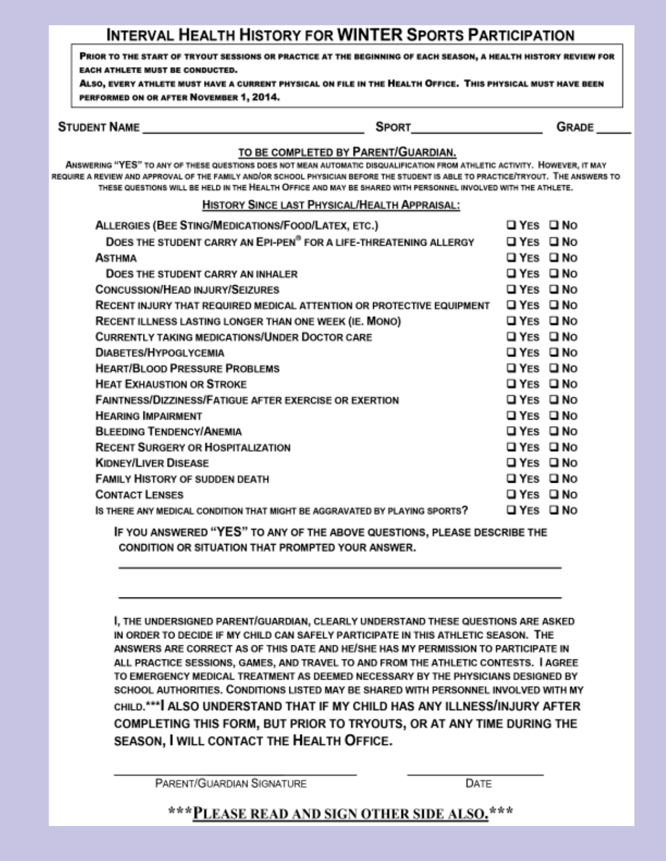## **INTERVAL HEALTH HISTORY FOR WINTER SPORTS PARTICIPATION**

PRIOR TO THE START OF TRYOUT SESSIONS OR PRACTICE AT THE BEGINNING OF EACH SEASON, A HEALTH HISTORY REVIEW FOR EACH ATHLETE MUST BE CONDUCTED.

ALSO, EVERY ATHLETE MUST HAVE A CURRENT PHYSICAL ON FILE IN THE HEALTH OFFICE. THIS PHYSICAL MUST HAVE BEEN PERFORMED ON OR AFTER NOVEMBER 1, 2014.

**STUDENT NAME** 

**SPORT** 

GRADE

### TO BE COMPLETED BY PARENT/GUARDIAN.

ANSWERING "YES" TO ANY OF THESE QUESTIONS DOES NOT MEAN AUTOMATIC DISQUALIFICATION FROM ATHLETIC ACTIVITY. HOWEVER, IT MAY REQUIRE A REVIEW AND APPROVAL OF THE FAMILY AND/OR SCHOOL PHYSICIAN BEFORE THE STUDENT IS ABLE TO PRACTICE/TRYOUT. THE ANSWERS TO THESE QUESTIONS WILL BE HELD IN THE HEALTH OFFICE AND MAY BE SHARED WITH PERSONNEL INVOLVED WITH THE ATHLETE.

### HISTORY SINCE LAST PHYSICAL/HEALTH APPRAISAL:

| ALLERGIES (BEE STING/MEDICATIONS/FOOD/LATEX, ETC.)                            | ⊔YES ⊔NO          |              |
|-------------------------------------------------------------------------------|-------------------|--------------|
| DOES THE STUDENT CARRY AN EPI-PEN <sup>®</sup> FOR A LIFE-THREATENING ALLERGY | <b>ΩYES ΩNO</b>   |              |
| ASTHMA                                                                        | <b>QYES QNO</b>   |              |
| DOES THE STUDENT CARRY AN INHALER                                             | <b>□ YES</b>      | <b>□ No</b>  |
| <b>CONCUSSION/HEAD INJURY/SEIZURES</b>                                        | <b>□ YES □ NO</b> |              |
| RECENT INJURY THAT REQUIRED MEDICAL ATTENTION OR PROTECTIVE EQUIPMENT         | <b>□ YES</b>      | □No          |
| RECENT ILLNESS LASTING LONGER THAN ONE WEEK (IE. MONO)                        | ם YES             | □No          |
| <b>CURRENTLY TAKING MEDICATIONS/UNDER DOCTOR CARE</b>                         | <b>□ YES</b>      | $\square$ No |
| <b>DIABETES/HYPOGLYCEMIA</b>                                                  | <b>□ YES</b>      | ⊡ No         |
| <b>HEART/BLOOD PRESSURE PROBLEMS</b>                                          | <b>□ YES</b>      | $\square$ No |
| <b>HEAT EXHAUSTION OR STROKE</b>                                              | ⊔YES ⊔NO          |              |
| <b>FAINTNESS/DIZZINESS/FATIGUE AFTER EXERCISE OR EXERTION</b>                 | <b>□ YES</b>      | □No          |
| <b>HEARING IMPAIRMENT</b>                                                     | ⊔YES □No          |              |
| <b>BLEEDING TENDENCY/ANEMIA</b>                                               | <b>□ YES □ NO</b> |              |
| <b>RECENT SURGERY OR HOSPITALIZATION</b>                                      | ⊔YES ⊔NO          |              |
| <b>KIDNEY/LIVER DISEASE</b>                                                   | <b>ΩYES ΩNO</b>   |              |
| <b>FAMILY HISTORY OF SUDDEN DEATH</b>                                         | ⊔YES □No          |              |
| <b>CONTACT LENSES</b>                                                         | <b>ΩYES ΩNO</b>   |              |
| IS THERE ANY MEDICAL CONDITION THAT MIGHT BE AGGRAVATED BY PLAYING SPORTS?    | □ YES             | □No          |
| ------------                                                                  |                   |              |

IF YOU ANSWERED "YES" TO ANY OF THE ABOVE QUESTIONS, PLEASE DESCRIBE THE CONDITION OR SITUATION THAT PROMPTED YOUR ANSWER.

I, THE UNDERSIGNED PARENT/GUARDIAN, CLEARLY UNDERSTAND THESE QUESTIONS ARE ASKED IN ORDER TO DECIDE IF MY CHILD CAN SAFELY PARTICIPATE IN THIS ATHLETIC SEASON. THE ANSWERS ARE CORRECT AS OF THIS DATE AND HE/SHE HAS MY PERMISSION TO PARTICIPATE IN ALL PRACTICE SESSIONS, GAMES, AND TRAVEL TO AND FROM THE ATHLETIC CONTESTS. I AGREE TO EMERGENCY MEDICAL TREATMENT AS DEEMED NECESSARY BY THE PHYSICIANS DESIGNED BY SCHOOL AUTHORITIES. CONDITIONS LISTED MAY BE SHARED WITH PERSONNEL INVOLVED WITH MY CHILD.\*\*\* ALSO UNDERSTAND THAT IF MY CHILD HAS ANY ILLNESS/INJURY AFTER COMPLETING THIS FORM, BUT PRIOR TO TRYOUTS, OR AT ANY TIME DURING THE SEASON, I WILL CONTACT THE HEALTH OFFICE.

PARENT/GUARDIAN SIGNATURE

DATE

\*\*\*PLEASE READ AND SIGN OTHER SIDE ALSO.\*\*\*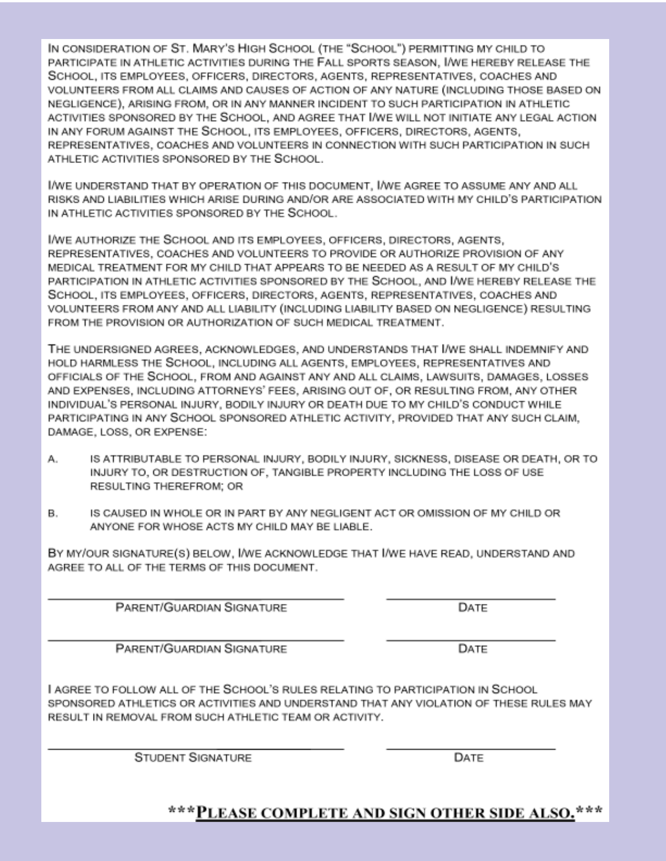IN CONSIDERATION OF ST. MARY'S HIGH SCHOOL (THE "SCHOOL") PERMITTING MY CHILD TO PARTICIPATE IN ATHLETIC ACTIVITIES DURING THE FALL SPORTS SEASON, I/WE HEREBY RELEASE THE SCHOOL, ITS EMPLOYEES, OFFICERS, DIRECTORS, AGENTS, REPRESENTATIVES, COACHES AND VOLUNTEERS FROM ALL CLAIMS AND CAUSES OF ACTION OF ANY NATURE (INCLUDING THOSE BASED ON NEGLIGENCE), ARISING FROM, OR IN ANY MANNER INCIDENT TO SUCH PARTICIPATION IN ATHLETIC ACTIVITIES SPONSORED BY THE SCHOOL. AND AGREE THAT I/WE WILL NOT INITIATE ANY LEGAL ACTION IN ANY FORUM AGAINST THE SCHOOL, ITS EMPLOYEES, OFFICERS, DIRECTORS, AGENTS, REPRESENTATIVES, COACHES AND VOLUNTEERS IN CONNECTION WITH SUCH PARTICIPATION IN SUCH ATHLETIC ACTIVITIES SPONSORED BY THE SCHOOL.

I/WE UNDERSTAND THAT BY OPERATION OF THIS DOCUMENT, I/WE AGREE TO ASSUME ANY AND ALL RISKS AND LIABILITIES WHICH ARISE DURING AND/OR ARE ASSOCIATED WITH MY CHILD'S PARTICIPATION IN ATHLETIC ACTIVITIES SPONSORED BY THE SCHOOL.

I/WE AUTHORIZE THE SCHOOL AND ITS EMPLOYEES, OFFICERS, DIRECTORS, AGENTS, REPRESENTATIVES, COACHES AND VOLUNTEERS TO PROVIDE OR AUTHORIZE PROVISION OF ANY MEDICAL TREATMENT FOR MY CHILD THAT APPEARS TO BE NEEDED AS A RESULT OF MY CHILD'S PARTICIPATION IN ATHLETIC ACTIVITIES SPONSORED BY THE SCHOOL, AND I/WE HEREBY RELEASE THE SCHOOL, ITS EMPLOYEES, OFFICERS, DIRECTORS, AGENTS, REPRESENTATIVES, COACHES AND VOLUNTEERS FROM ANY AND ALL LIABILITY (INCLUDING LIABILITY BASED ON NEGLIGENCE) RESULTING FROM THE PROVISION OR AUTHORIZATION OF SUCH MEDICAL TREATMENT.

THE UNDERSIGNED AGREES, ACKNOWLEDGES, AND UNDERSTANDS THAT I/WE SHALL INDEMNIFY AND HOLD HARMLESS THE SCHOOL, INCLUDING ALL AGENTS, EMPLOYEES, REPRESENTATIVES AND OFFICIALS OF THE SCHOOL, FROM AND AGAINST ANY AND ALL CLAIMS, LAWSUITS, DAMAGES, LOSSES AND EXPENSES, INCLUDING ATTORNEYS' FEES, ARISING OUT OF, OR RESULTING FROM, ANY OTHER INDIVIDUAL'S PERSONAL INJURY, BODILY INJURY OR DEATH DUE TO MY CHILD'S CONDUCT WHILE PARTICIPATING IN ANY SCHOOL SPONSORED ATHLETIC ACTIVITY, PROVIDED THAT ANY SUCH CLAIM, DAMAGE, LOSS, OR EXPENSE:

- А. IS ATTRIBUTABLE TO PERSONAL INJURY, BODILY INJURY, SICKNESS, DISEASE OR DEATH, OR TO INJURY TO, OR DESTRUCTION OF, TANGIBLE PROPERTY INCLUDING THE LOSS OF USE RESULTING THEREFROM: OR
- В. IS CAUSED IN WHOLE OR IN PART BY ANY NEGLIGENT ACT OR OMISSION OF MY CHILD OR ANYONE FOR WHOSE ACTS MY CHILD MAY BE LIABLE.

BY MY/OUR SIGNATURE(S) BELOW, I/WE ACKNOWLEDGE THAT I/WE HAVE READ, UNDERSTAND AND AGREE TO ALL OF THE TERMS OF THIS DOCUMENT.

PARENT/GUARDIAN SIGNATURE

PARENT/GUARDIAN SIGNATURE

I AGREE TO FOLLOW ALL OF THE SCHOOL'S RULES RELATING TO PARTICIPATION IN SCHOOL SPONSORED ATHLETICS OR ACTIVITIES AND UNDERSTAND THAT ANY VIOLATION OF THESE RULES MAY RESULT IN REMOVAL FROM SUCH ATHLETIC TEAM OR ACTIVITY.

**STUDENT SIGNATURE** 

DATE

\*\*\*PLEASE COMPLETE AND SIGN OTHER SIDE ALSO.\*\*\*

DATE

DATE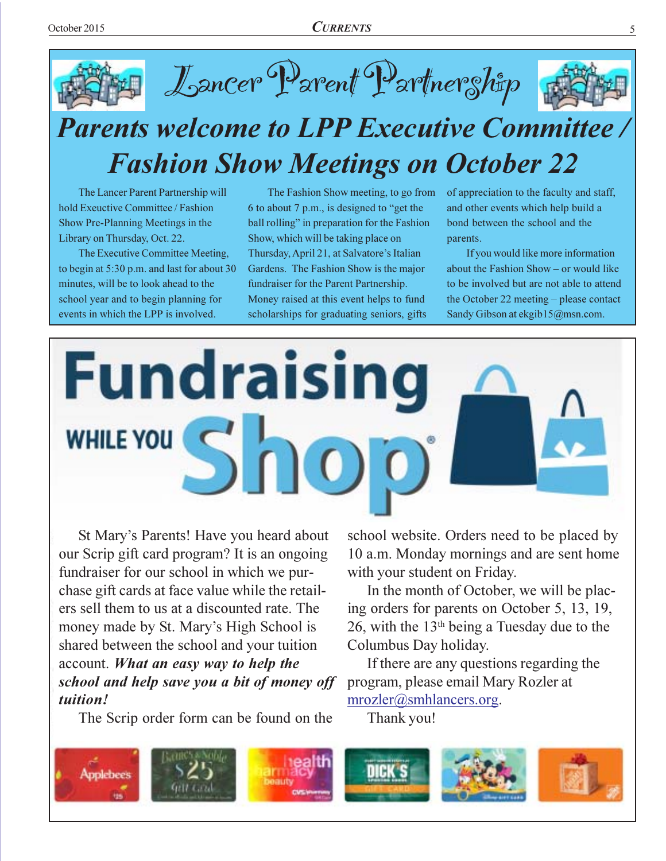



The Lancer Parent Partnership will hold Exeuctive Committee / Fashion Show Pre-Planning Meetings in the Library on Thursday, Oct. 22.

The Executive Committee Meeting, to begin at 5:30 p.m. and last for about 30 minutes, will be to look ahead to the school year and to begin planning for events in which the LPP is involved.

The Fashion Show meeting, to go from 6 to about 7 p.m., is designed to "get the ball rolling" in preparation for the Fashion Show, which will be taking place on Thursday, April 21, at Salvatore's Italian Gardens. The Fashion Show is the major fundraiser for the Parent Partnership. Money raised at this event helps to fund scholarships for graduating seniors, gifts

of appreciation to the faculty and staff, and other events which help build a bond between the school and the parents.

If you would like more information about the Fashion Show - or would like to be involved but are not able to attend the October 22 meeting – please contact Sandy Gibson at ekgib15@msn.com.



St Mary's Parents! Have you heard about our Scrip gift card program? It is an ongoing fundraiser for our school in which we purchase gift cards at face value while the retailers sell them to us at a discounted rate. The money made by St. Mary's High School is shared between the school and your tuition account. What an easy way to help the school and help save you a bit of money off tuition!

The Scrip order form can be found on the

school website. Orders need to be placed by 10 a.m. Monday mornings and are sent home with your student on Friday.

In the month of October, we will be placing orders for parents on October 5, 13, 19, 26, with the  $13<sup>th</sup>$  being a Tuesday due to the Columbus Day holiday.

If there are any questions regarding the program, please email Mary Rozler at  $mrozler@smhlancers.org.$ 

Thank you!

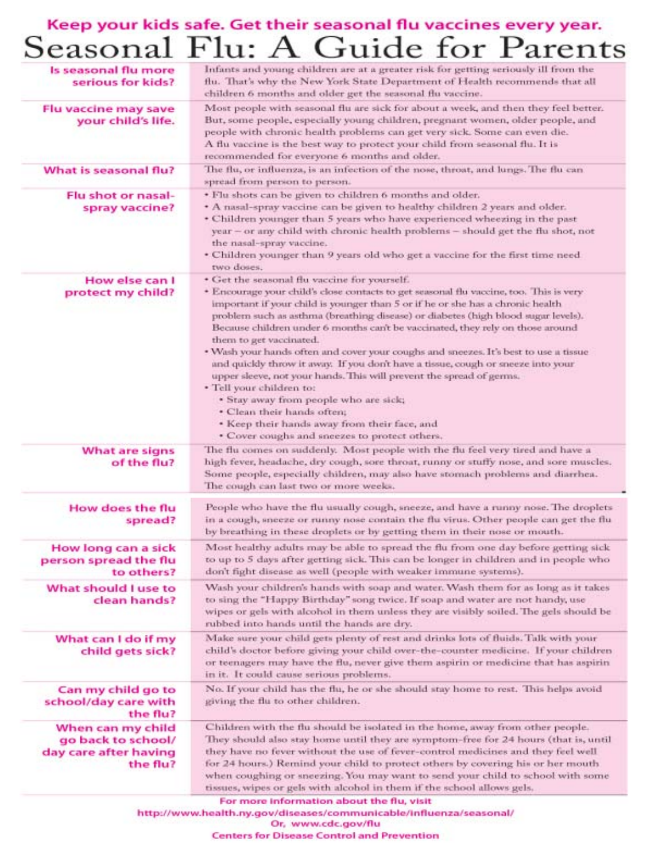# Keep your kids safe. Get their seasonal flu vaccines every year.<br>Seasonal Flu: A Guide for Parents

| Infants and young children are at a greater risk for getting seriously ill from the<br>flu. That's why the New York State Department of Health recommends that all<br>children 6 months and older get the seasonal flu vaccine.                                                                                                                                                                                                                                                                                                                                                                                                                                                                                                                                                                                                                                                    |
|------------------------------------------------------------------------------------------------------------------------------------------------------------------------------------------------------------------------------------------------------------------------------------------------------------------------------------------------------------------------------------------------------------------------------------------------------------------------------------------------------------------------------------------------------------------------------------------------------------------------------------------------------------------------------------------------------------------------------------------------------------------------------------------------------------------------------------------------------------------------------------|
| Most people with seasonal flu are sick for about a week, and then they feel better.<br>But, some people, especially young children, pregnant women, older people, and<br>people with chronic health problems can get very sick. Some can even die.<br>A flu vaccine is the best way to protect your child from seasonal flu. It is<br>recommended for everyone 6 months and older.                                                                                                                                                                                                                                                                                                                                                                                                                                                                                                 |
| The flu, or influenza, is an infection of the nose, throat, and lungs. The flu can<br>spread from person to person.                                                                                                                                                                                                                                                                                                                                                                                                                                                                                                                                                                                                                                                                                                                                                                |
| · Flu shots can be given to children 6 months and older.<br>* A nasal-spray vaccine can be given to healthy children 2 years and older.<br>* Children younger than 5 years who have experienced wheezing in the past<br>year - or any child with chronic health problems - should get the flu shot, not<br>the nasal-spray vaccine.<br>• Children younger than 9 years old who get a vaccine for the first time need<br>two doses.                                                                                                                                                                                                                                                                                                                                                                                                                                                 |
| · Get the seasonal flu vaccine for yourself.<br>* Encourage your child's close contacts to get seasonal flu vaccine, too. This is very<br>important if your child is younger than 5 or if he or she has a chronic health<br>problem such as asthma (breathing disease) or diabetes (high blood sugar levels).<br>Because children under 6 months can't be vaccinated, they rely on those around<br>them to get vaccinated.<br>. Wash your hands often and cover your coughs and sneezes. It's best to use a tissue<br>and quickly throw it away. If you don't have a tissue, cough or sneeze into your<br>upper sleeve, not your hands. This will prevent the spread of germs.<br>· Tell your children to:<br>* Stay away from people who are sick;<br>· Clean their hands often;<br>* Keep their hands away from their face, and<br>· Cover coughs and sneezes to protect others, |
| The flu comes on suddenly. Most people with the flu feel very tired and have a<br>high fever, headache, dry cough, sore throat, runny or stuffy nose, and sore muscles.<br>Some people, especially children, may also have stomach problems and diarrhea.<br>The cough can last two or more weeks.                                                                                                                                                                                                                                                                                                                                                                                                                                                                                                                                                                                 |
| People who have the flu usually cough, sneeze, and have a runny nose. The droplets<br>in a cough, sneeze or runny nose contain the flu virus. Other people can get the flu<br>by breathing in these droplets or by getting them in their nose or mouth.                                                                                                                                                                                                                                                                                                                                                                                                                                                                                                                                                                                                                            |
| Most healthy adults may be able to spread the flu from one day before getting sick<br>to up to 5 days after getting sick. This can be longer in children and in people who<br>don't fight disease as well (people with weaker immune systems).                                                                                                                                                                                                                                                                                                                                                                                                                                                                                                                                                                                                                                     |
| Wash your children's hands with soap and water. Wash them for as long as it takes<br>to sing the "Happy Birthday" song twice. If soap and water are not handy, use<br>wipes or gels with alcohol in them unless they are visibly soiled. The gels should be<br>rubbed into hands until the hands are dry.                                                                                                                                                                                                                                                                                                                                                                                                                                                                                                                                                                          |
| Make sure your child gets plenty of rest and drinks lots of fluids. Talk with your<br>child's doctor before giving your child over-the-counter medicine. If your children<br>or teenagers may have the flu, never give them aspirin or medicine that has aspirin<br>in it. It could cause serious problems.                                                                                                                                                                                                                                                                                                                                                                                                                                                                                                                                                                        |
| No. If your child has the flu, he or she should stay home to rest. This helps avoid<br>giving the flu to other children.                                                                                                                                                                                                                                                                                                                                                                                                                                                                                                                                                                                                                                                                                                                                                           |
| Children with the flu should be isolated in the home, away from other people.<br>They should also stay home until they are symptom-free for 24 hours (that is, until                                                                                                                                                                                                                                                                                                                                                                                                                                                                                                                                                                                                                                                                                                               |
|                                                                                                                                                                                                                                                                                                                                                                                                                                                                                                                                                                                                                                                                                                                                                                                                                                                                                    |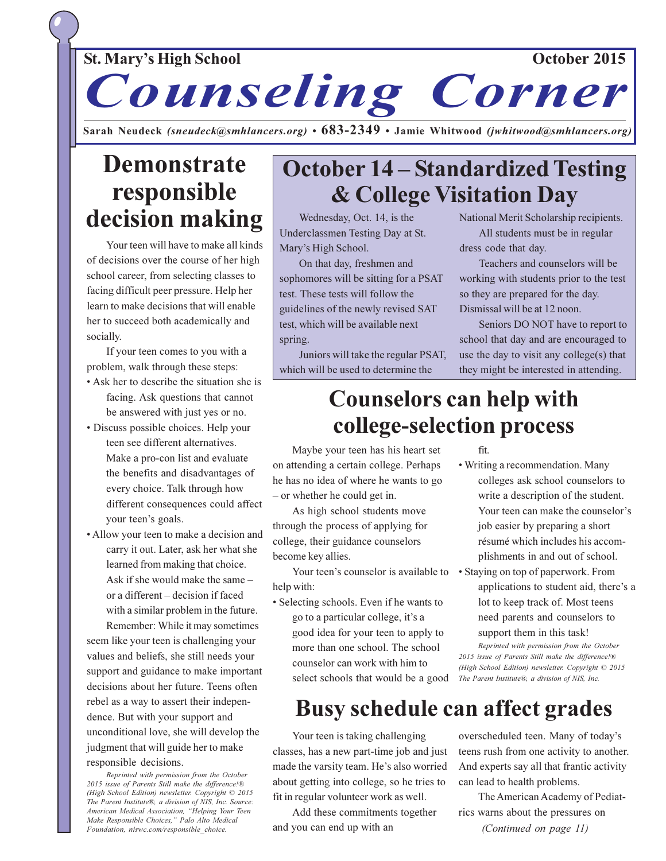### October 2015

### **St. Mary's High School**

# Counseling Corner

Sarah Neudeck (sneudeck@smhlancers.org)  $\cdot$  683-2349  $\cdot$  Jamie Whitwood (jwhitwood@smhlancers.org)

## **Demonstrate** responsible decision making

Your teen will have to make all kinds of decisions over the course of her high school career, from selecting classes to facing difficult peer pressure. Help her learn to make decisions that will enable her to succeed both academically and socially.

If your teen comes to you with a problem, walk through these steps:

- Ask her to describe the situation she is facing. Ask questions that cannot be answered with just yes or no.
- Discuss possible choices. Help your teen see different alternatives. Make a pro-con list and evaluate the benefits and disadvantages of every choice. Talk through how different consequences could affect your teen's goals.
- Allow your teen to make a decision and carry it out. Later, ask her what she learned from making that choice. Ask if she would make the same or a different – decision if faced with a similar problem in the future. Remember: While it may sometimes

seem like your teen is challenging your values and beliefs, she still needs your support and guidance to make important decisions about her future. Teens often rebel as a way to assert their independence. But with your support and unconditional love, she will develop the judgment that will guide her to make responsible decisions.

Reprinted with permission from the October 2015 issue of Parents Still make the difference!® (High School Edition) newsletter. Copyright © 2015 The Parent Institute®, a division of NIS, Inc. Source: American Medical Association, "Helping Your Teen Make Responsible Choices," Palo Alto Medical Foundation, niswc.com/responsible choice.

## **October 14 – Standardized Testing & College Visitation Day**

Wednesday, Oct. 14, is the Underclassmen Testing Day at St. Mary's High School.

On that day, freshmen and sophomores will be sitting for a PSAT test. These tests will follow the guidelines of the newly revised SAT test, which will be available next spring.

Juniors will take the regular PSAT, which will be used to determine the

National Merit Scholarship recipients. All students must be in regular dress code that day.

Teachers and counselors will be working with students prior to the test so they are prepared for the day. Dismissal will be at 12 noon.

Seniors DO NOT have to report to school that day and are encouraged to use the day to visit any college(s) that they might be interested in attending.

## **Counselors can help with** college-selection process

Maybe your teen has his heart set on attending a certain college. Perhaps he has no idea of where he wants to go - or whether he could get in.

As high school students move through the process of applying for college, their guidance counselors become key allies.

Your teen's counselor is available to • Staying on top of paperwork. From help with:

• Selecting schools. Even if he wants to go to a particular college, it's a good idea for your teen to apply to more than one school. The school counselor can work with him to select schools that would be a good fit.

- · Writing a recommendation. Many colleges ask school counselors to write a description of the student. Your teen can make the counselor's job easier by preparing a short résumé which includes his accomplishments in and out of school.
- applications to student aid, there's a lot to keep track of. Most teens need parents and counselors to support them in this task!

Reprinted with permission from the October 2015 issue of Parents Still make the difference!® (High School Edition) newsletter. Copyright © 2015 The Parent Institute®, a division of NIS, Inc.

## **Busy schedule can affect grades**

Your teen is taking challenging classes, has a new part-time job and just made the varsity team. He's also worried about getting into college, so he tries to fit in regular volunteer work as well.

Add these commitments together and you can end up with an

overscheduled teen. Many of today's teens rush from one activity to another. And experts say all that frantic activity can lead to health problems.

The American Academy of Pediatrics warns about the pressures on (Continued on page 11)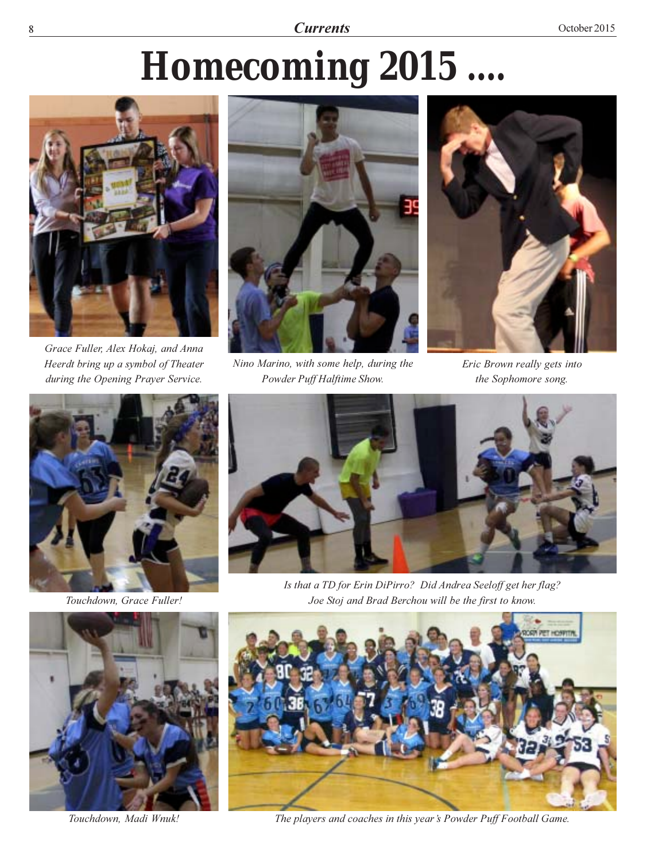8 Currents nts Oc

# *Homecoming 2015 ....*



Grace Fuller, Alex Hokaj, and Anna Heerdt bring up a symbol of Theater during the Opening Prayer Service.



Nino Marino, with some help, during the Powder Puff Halftime Show.



Eric Brown really gets into the Sophomore song.



Touchdown, Grace Fuller!



Touchdown, Madi Wnuk!



Is that a TD for Erin DiPirro? Did Andrea Seeloff get her flag? Joe Stoj and Brad Berchou will be the first to know.



The players and coaches in this year's Powder Puff Football Game.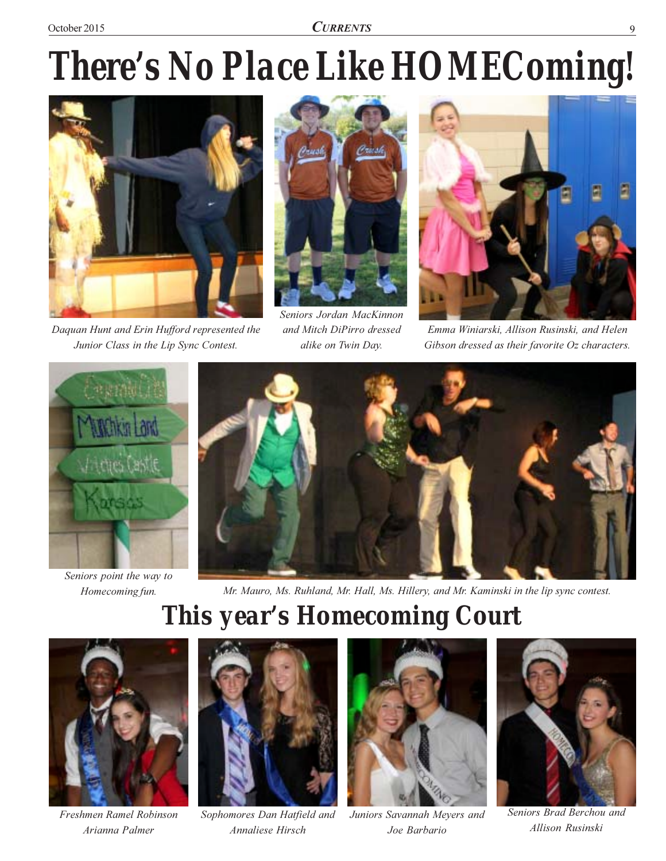# There's No Place Like HOMEComing!



Daquan Hunt and Erin Hufford represented the Junior Class in the Lip Sync Contest.



Seniors Jordan MacKinnon and Mitch DiPirro dressed alike on Twin Day.



Emma Winiarski, Allison Rusinski, and Helen Gibson dressed as their favorite Oz characters.



Seniors point the way to Homecoming fun.



Mr. Mauro, Ms. Ruhland, Mr. Hall, Ms. Hillery, and Mr. Kaminski in the lip sync contest.

# **This year's Homecoming Court**



Freshmen Ramel Robinson Arianna Palmer



Sophomores Dan Hatfield and Annaliese Hirsch



Juniors Savannah Meyers and Joe Barbario



Seniors Brad Berchou and Allison Rusinski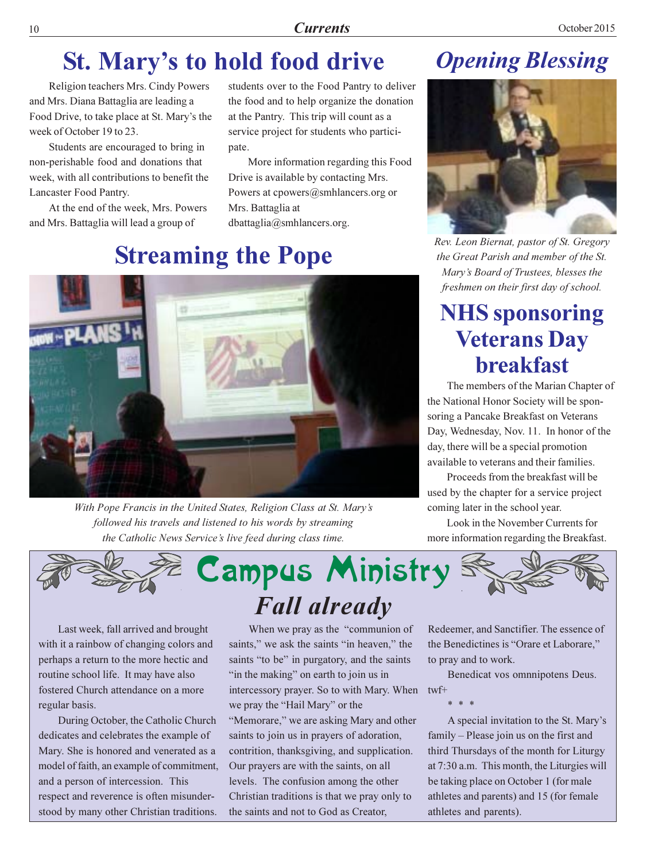## St. Mary's to hold food drive

Religion teachers Mrs. Cindy Powers and Mrs. Diana Battaglia are leading a Food Drive, to take place at St. Mary's the week of October 19 to 23.

Students are encouraged to bring in non-perishable food and donations that week, with all contributions to benefit the Lancaster Food Pantry.

At the end of the week, Mrs. Powers and Mrs. Battaglia will lead a group of

students over to the Food Pantry to deliver the food and to help organize the donation at the Pantry. This trip will count as a service project for students who participate.

More information regarding this Food Drive is available by contacting Mrs. Powers at cpowers@smhlancers.org or Mrs. Battaglia at  $d$ battaglia@smhlancers.org.

## **Streaming the Pope**



With Pope Francis in the United States, Religion Class at St. Mary's followed his travels and listened to his words by streaming the Catholic News Service's live feed during class time.

## **Opening Blessing**



Rev. Leon Biernat, pastor of St. Gregory the Great Parish and member of the St. Mary's Board of Trustees, blesses the freshmen on their first day of school.

## **NHS** sponsoring **Veterans Day hreakfast**

The members of the Marian Chapter of the National Honor Society will be sponsoring a Pancake Breakfast on Veterans Day, Wednesday, Nov. 11. In honor of the day, there will be a special promotion available to veterans and their families.

Proceeds from the breakfast will be used by the chapter for a service project coming later in the school year.

Look in the November Currents for more information regarding the Breakfast.



Last week, fall arrived and brought with it a rainbow of changing colors and perhaps a return to the more hectic and routine school life. It may have also fostered Church attendance on a more regular basis.

During October, the Catholic Church dedicates and celebrates the example of Mary. She is honored and venerated as a model of faith, an example of commitment, and a person of intercession. This respect and reverence is often misunderstood by many other Christian traditions.

When we pray as the "communion of saints," we ask the saints "in heaven," the saints "to be" in purgatory, and the saints "in the making" on earth to join us in intercessory prayer. So to with Mary. When we pray the "Hail Mary" or the "Memorare," we are asking Mary and other saints to join us in prayers of adoration, contrition, thanksgiving, and supplication. Our prayers are with the saints, on all levels. The confusion among the other Christian traditions is that we pray only to the saints and not to God as Creator,

Redeemer, and Sanctifier. The essence of the Benedictines is "Orare et Laborare," to pray and to work.

Benedicat vos omnnipotens Deus. twf+

A special invitation to the St. Mary's family - Please join us on the first and third Thursdays of the month for Liturgy at 7:30 a.m. This month, the Liturgies will be taking place on October 1 (for male athletes and parents) and 15 (for female athletes and parents).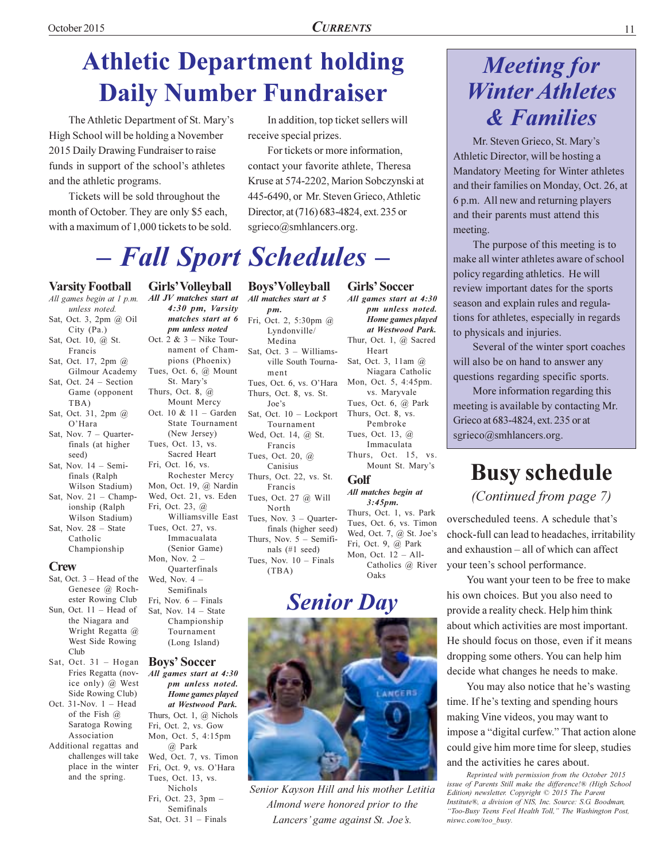# **Athletic Department holding Daily Number Fundraiser**

The Athletic Department of St. Mary's High School will be holding a November 2015 Daily Drawing Fundraiser to raise funds in support of the school's athletes and the athletic programs.

Tickets will be sold throughout the month of October. They are only \$5 each, with a maximum of 1,000 tickets to be sold.

In addition, top ticket sellers will receive special prizes.

For tickets or more information, contact your favorite athlete, Theresa Kruse at 574-2202, Marion Sobczynski at 445-6490, or Mr. Steven Grieco, Athletic Director, at (716) 683-4824, ext. 235 or sgrieco@smhlancers.org.

pm unless noted.

Home games played

at Westwood Park.

Niagara Catholic

vs. Maryvale

Pembroke

Immaculata

 $3:45pm.$ 

Oaks

Mount St. Mary's

Catholics @ River

Heart

# - Fall Sport Schedules -

#### **Varsity Football**

- All games begin at 1 p.m. unless noted. Sat, Oct. 3, 2pm @ Oil
- City (Pa.) Sat, Oct. 10, @ St.
- Francis Sat, Oct. 17, 2pm @
- Gilmour Academy Sat, Oct. 24 - Section Game (opponent
- TBA) Sat, Oct. 31, 2pm @  $O'$ Hara
- Sat Nov  $7 -$  Ouarterfinals (at higher seed)
- Sat, Nov.  $14 -$  Semifinals (Ralph Wilson Stadium)
- Sat, Nov.  $21 \text{Champ}$ ionship (Ralph Wilson Stadium)
- Sat, Nov.  $28 State$ Catholic Championship

#### $C<sub>rew</sub>$

- Sat, Oct.  $3 -$  Head of the Genesee @ Rochester Rowing Club
- Sun, Oct.  $11$  Head of the Niagara and Wright Regatta @ West Side Rowing Club
- Sat, Oct. 31 Hogan Fries Regatta (novice only) @ West Side Rowing Club)
- Oct.  $31-Nov. 1 Head$ of the Fish  $(a)$ Saratoga Rowing Association
- Additional regattas and challenges will take place in the winter and the spring.

All JV matches start at 4:30 pm, Varsity matches start at 6 pm unless noted Oct. 2 &  $3$  – Nike Tournament of Champions (Phoenix) Tues, Oct. 6, @ Mount St. Mary's Thurs, Oct. 8,  $@$ Mount Mercy Oct. 10 &  $11 -$  Garden State Tournament (New Jersey) Tues, Oct. 13, vs. Sacred Heart Fri, Oct. 16, vs. Rochester Mercy Mon, Oct. 19, @ Nardin Wed, Oct. 21, vs. Eden Fri, Oct. 23, @ Williamsville East Tues, Oct. 27, vs. Immacualata (Senior Game) Mon, Nov.  $2-$ Quarterfinals Wed, Nov.  $4-$ Semifinals Fri. Nov.  $6$  – Finals Sat, Nov. 14 - State Championship Tournament (Long Island)

**Girls' Volleyball** 

#### **Boys' Soccer**

All games start at 4:30 pm unless noted. Home games played at Westwood Park. Thurs, Oct. 1, @ Nichols Fri, Oct. 2, vs. Gow Mon, Oct. 5, 4:15pm @ Park Wed, Oct. 7, vs. Timon Fri, Oct. 9, vs. O'Hara Tues, Oct. 13, vs. Nichols Fri, Oct. 23,  $3pm -$ Semifinals Sat, Oct. 31 - Finals

**Boys'Volleyball Girls' Soccer** All matches start at 5 All games start at 4:30  $nm$ Fri, Oct. 2, 5:30pm @ Lyndonville/ Medina Thur, Oct. 1, @ Sacred Sat, Oct.  $3 -$  Williams-Sat, Oct. 3, 11am @ ville South Tourna $m$ ent Tues, Oct. 6, vs. O'Hara Mon, Oct. 5, 4:45pm. Thurs, Oct. 8, vs. St. Tues, Oct. 6, @ Park Joe's Thurs, Oct. 8, vs. Sat, Oct. 10 - Lockport Tournament Wed, Oct. 14, @ St. Tues, Oct. 13, @ Francis Thurs, Oct. 15, vs. Tues, Oct. 20, @ Canisius Thurs, Oct. 22, vs. St. Golf Francis All matches begin at Tues, Oct. 27 @ Will North Thurs, Oct. 1, vs. Park Tues, Nov. 3 - Quarter-Tues, Oct. 6, vs. Timon finals (higher seed) Wed, Oct. 7, @ St. Joe's Thurs, Nov.  $5 -$  Semifi-Fri, Oct. 9, @ Park nals  $(\#1 \text{ seed})$ Mon, Oct.  $12 - All-$ Tues. Nov.  $10 -$  Finals  $(TBA)$ 

## **Senior Day**



Senior Kayson Hill and his mother Letitia Almond were honored prior to the Lancers' game against St. Joe's.

## **Meeting for Winter Athletes & Families**

Mr. Steven Grieco, St. Mary's Athletic Director, will be hosting a Mandatory Meeting for Winter athletes and their families on Monday, Oct. 26, at 6 p.m. All new and returning players and their parents must attend this meeting.

The purpose of this meeting is to make all winter athletes aware of school policy regarding athletics. He will review important dates for the sports season and explain rules and regulations for athletes, especially in regards to physicals and injuries.

Several of the winter sport coaches will also be on hand to answer any questions regarding specific sports.

More information regarding this meeting is available by contacting Mr. Grieco at 683-4824, ext. 235 or at sgrieco@smhlancers.org.

## **Busy schedule**

(Continued from page 7)

overscheduled teens. A schedule that's chock-full can lead to headaches, irritability and exhaustion - all of which can affect your teen's school performance.

You want your teen to be free to make his own choices. But you also need to provide a reality check. Help him think about which activities are most important. He should focus on those, even if it means dropping some others. You can help him decide what changes he needs to make.

You may also notice that he's wasting time. If he's texting and spending hours making Vine videos, you may want to impose a "digital curfew." That action alone could give him more time for sleep, studies and the activities he cares about.

Reprinted with permission from the October 2015 issue of Parents Still make the difference!® (High School Edition) newsletter. Copyright © 2015 The Parent Institute®, a division of NIS, Inc. Source: S.G. Boodman, "Too-Busy Teens Feel Health Toll," The Washington Post, niswc.com/too busy.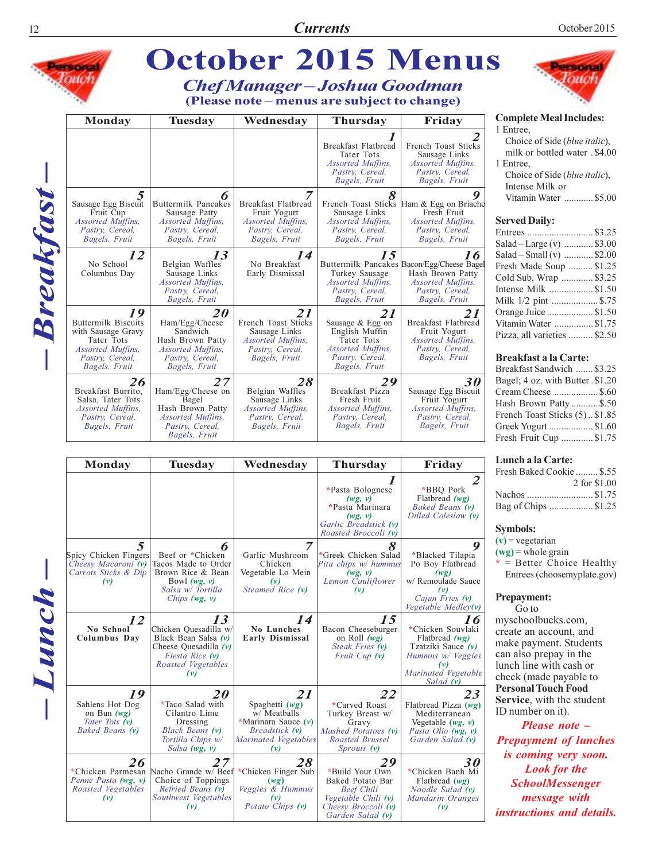

| <b>Monday</b>                                                                    | Tuesday                                                                                                                          | Wednesdav                                                                                                        | <b>Thursday</b>                                                                                                                  | Friday                                                                                                                              |  |
|----------------------------------------------------------------------------------|----------------------------------------------------------------------------------------------------------------------------------|------------------------------------------------------------------------------------------------------------------|----------------------------------------------------------------------------------------------------------------------------------|-------------------------------------------------------------------------------------------------------------------------------------|--|
|                                                                                  |                                                                                                                                  |                                                                                                                  | *Pasta Bolognese<br>(wg, v)<br>*Pasta Marinara<br>(wg, v)<br>Garlic Breadstick (v)<br>Roasted Broccoli (v)                       | $\mathcal{Z}$<br>*BBO Pork<br>Flatbread $(wg)$<br>Baked Beans (v)<br>Dilled Coleslaw (v)                                            |  |
| 5<br>Spicy Chicken Fingers<br>Cheesy Macaroni (v)<br>Carrots Sticks & Dip<br>(v) | 6<br>Beef or *Chicken<br>Tacos Made to Order<br>Brown Rice & Bean<br>Bowl $(wg, v)$<br>Salsa w/ Tortilla<br>Chips $(wg, v)$      | Garlic Mushroom<br>Chicken<br>Vegetable Lo Mein<br>(v)<br>Steamed Rice (v)                                       | *Greek Chicken Salad<br>Pita chips w/ hummus<br>(wg, v)<br>Lemon Cauliflower<br>(v)                                              | 9<br>*Blacked Tilapia<br>Po Boy Flatbread<br>(wg)<br>w/ Remoulade Sauce<br>(v)<br>Cajun Fries (v)<br>Vegetable Medley(v)            |  |
| 12<br>No School<br>Columbus Day                                                  | 13<br>Chicken Quesadilla w/<br>Black Bean Salsa $(v)$<br>Cheese Quesadilla $(v)$<br>Fiesta Rice (v)<br>Roasted Vegetables<br>(v) | 14<br><b>No Lunches</b><br><b>Early Dismissal</b>                                                                | 15<br>Bacon Cheeseburger<br>on Roll $(wg)$<br>Steak Fries (v)<br>Fruit Cup $(v)$                                                 | 16<br>*Chicken Souvlaki<br>Flatbread $(wg)$<br>Tzatziki Sauce $(v)$<br>Hummus w/ Veggies<br>(v)<br>Marinated Vegetable<br>Salad (v) |  |
| 19<br>Sahlens Hot Dog<br>on Bun $(wg)$<br>Tater Tots (v)<br>Baked Beans (v)      | <b>20</b><br>*Taco Salad with<br>Cilantro Lime<br>Dressing<br>Black Beans (v)<br>Tortilla Chips w/<br>Salsa $(wg, v)$            | 21<br>Spaghetti $(wg)$<br>w/ Meatballs<br>*Marinara Sauce $(v)$<br>Breadstick (v)<br>Marinated Vegetables<br>(v) | 22<br>*Carved Roast<br>Turkey Breast w/<br>Gravy<br>Mashed Potatoes (v)<br>Roasted Brussel<br>$Sprouts$ $(v)$                    | 23<br>Flatbread Pizza $(wg)$<br>Mediterranean<br>Vegetable $(wg, v)$<br>Pasta Olio (wg, v)<br>Garden Salad (v)                      |  |
| 26<br>*Chicken Parmesan<br>Penne Pasta (wg, v)<br>Roasted Vegetables<br>(v)      | 27<br>Nacho Grande w/ Beef<br>Choice of Toppings<br>Refried Beans (v)<br>Southwest Vegetables<br>(v)                             | 28<br>*Chicken Finger Sub<br>(wg)<br>Veggies & Hummus<br>(v)<br>Potato Chips (v)                                 | 29<br>*Build Your Own<br>Baked Potato Bar<br><b>Beef Chili</b><br>Vegetable Chili (v)<br>Cheesy Broccoli (v)<br>Garden Salad (v) | 30<br>*Chicken Banh Mi<br>Flatbread $(wg)$<br>Noodle Salad (v)<br>Mandarin Oranges<br>(v)                                           |  |

| Fresh Baked Cookie  \$.55 |              |
|---------------------------|--------------|
|                           | 2 for \$1.00 |
|                           |              |
| Bag of Chips \$1.25       |              |
|                           |              |

#### Symbols:

 $(v)$  = vegetarian

 $(wg)$  = whole grain = Better Choice Healthy Entrees (choosemyplate.gov)

Prepayment: Go to

myschoolbucks.com, create an account, and make payment. Students can also prepay in the lunch line with cash or check (made payable to **Personal Touch Food** Service, with the student ID number on it).

Please note – **Prepayment of lunches** is coming very soon. **Look** for the **SchoolMessenger** message with instructions and details.

 $-Lumch$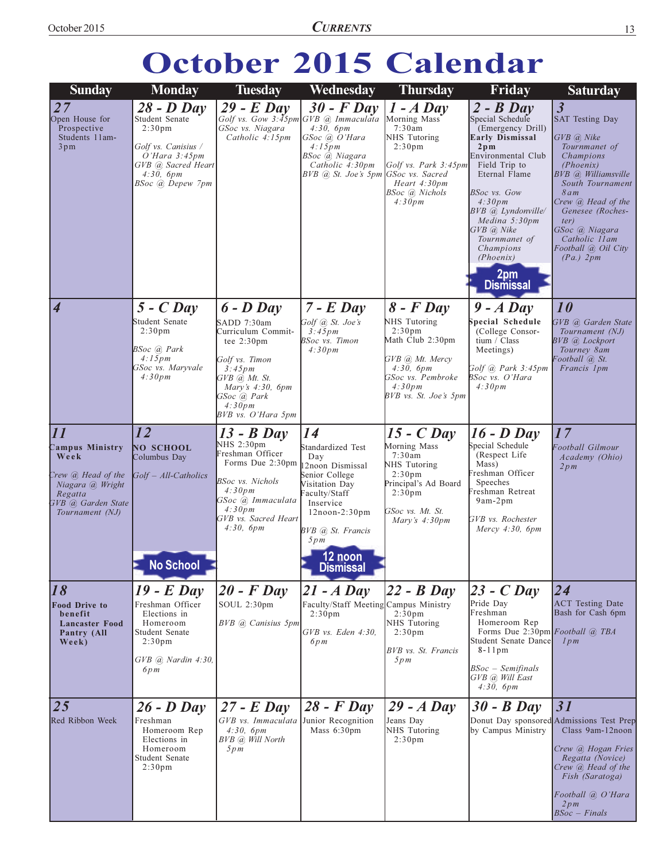**CURRENTS** 

# October 2015 Calendar

| <b>Sunday</b>                                                                                                                                   | <b>Monday</b>                                                                                                                                       | <b>Tuesday</b>                                                                                                                                                                                    | Wednesday                                                                                                                                                                                        | <b>Thursday</b>                                                                                                                                                   | Friday                                                                                                                                                                                                                                                                                                       | <b>Saturday</b>                                                                                                                                                                                                                                                                           |
|-------------------------------------------------------------------------------------------------------------------------------------------------|-----------------------------------------------------------------------------------------------------------------------------------------------------|---------------------------------------------------------------------------------------------------------------------------------------------------------------------------------------------------|--------------------------------------------------------------------------------------------------------------------------------------------------------------------------------------------------|-------------------------------------------------------------------------------------------------------------------------------------------------------------------|--------------------------------------------------------------------------------------------------------------------------------------------------------------------------------------------------------------------------------------------------------------------------------------------------------------|-------------------------------------------------------------------------------------------------------------------------------------------------------------------------------------------------------------------------------------------------------------------------------------------|
| 27<br>Open House for<br>Prospective<br>Students 11am-<br>3pm                                                                                    | $28 - D$ Day<br>Student Senate<br>2:30 <sub>pm</sub><br>Golf vs. Canisius /<br>O'Hara 3:45pm<br>GVB @ Sacred Heart<br>4:30, 6pm<br>BSoc @ Depew 7pm | $29$ - E Day<br>Golf vs. Gow 3:45pm GVB @ Immaculata<br>GSoc vs. Niagara<br>Catholic 4:15pm                                                                                                       | $30$ - F Day<br>4:30, 6pm<br>GSoc @ O'Hara<br>4:15pm<br>BSoc @ Niagara<br>Catholic 4:30pm<br>BVB (a) St. Joe's 5pm GSoc vs. Sacred                                                               | $1 - A$ Day<br>Morning Mass<br>7:30am<br>NHS Tutoring<br>2:30 <sub>pm</sub><br>Golf vs. Park $3:45$ pm<br>Heart 4:30pm<br>BSoc (a) Nichols<br>4:30pm              | $2 - B$ Day<br>Special Schedule<br>(Emergency Drill)<br><b>Early Dismissal</b><br>$2p$ m<br>Environmental Club<br>Field Trip to<br>Eternal Flame<br>BSoc vs. Gow<br>4:30pm<br>BVB @ Lyndonville/<br>Medina 5:30pm<br>GVB @ Nike<br>Tournmanet of<br>Champions<br><i>(Phoenix)</i><br>2pm<br><b>Dismissal</b> | $\overline{\mathbf{3}}$<br><b>SAT Testing Day</b><br>GVB @ Nike<br>Tournmanet of<br>Champions<br>(Phoenix)<br>BVB @ Williamsville<br>South Tournament<br>8am<br>Crew @ Head of the<br>Genesee (Roches-<br>ter)<br>GSoc @ Niagara<br>Catholic 11am<br>Football (a) Oil City<br>$(Pa.)$ 2pm |
| $\overline{\boldsymbol{4}}$                                                                                                                     | $5 - C$ Day<br>Student Senate<br>2:30 <sub>pm</sub><br>BSoc @ Park<br>4:15pm<br>GSoc vs. Maryvale<br>4:30pm                                         | $6$ - $D$ Day<br>SADD 7:30am<br>Curriculum Commit-<br>tee $2:30 \text{pm}$<br>Golf vs. Timon<br>3:45pm<br>$GVB$ (a) $Mt$ . St.<br>Mary's 4:30, 6pm<br>GSoc @ Park<br>4:30pm<br>BVB vs. O'Hara 5pm | $7$ - $E$ Day<br>Golf @ St. Joe's<br>3:45pm<br><b>BSoc</b> vs. Timon<br>4:30pm                                                                                                                   | $8$ - $F$ Day<br>NHS Tutoring<br>2:30 <sub>pm</sub><br>Math Club 2:30pm<br>GVB @ Mt. Mercy<br>4:30, 6pm<br>GSoc vs. Pembroke<br>4:30pm<br>BVB vs. St. Joe's 5pm   | $9 - A$ Day<br>Special Schedule<br>College Consor-<br>tium / Class<br>Meetings)<br>Golf @ Park 3:45pm<br>BSoc vs. O'Hara<br>4:30pm                                                                                                                                                                           | 10<br>GVB @ Garden State<br>Tournament (NJ)<br><b>BVB</b> @ Lockport<br>Tourney 8am<br>Football (a) St.<br>Francis 1pm                                                                                                                                                                    |
| $\overline{11}$<br>Campus Ministry<br>Week<br>Crew <i>a</i> Head of the<br>Niagara @ Wright<br>Regatta<br>GVB @ Garden State<br>Tournament (NJ) | 12<br>NO SCHOOL<br>Columbus Day<br>Golf - All-Catholics<br><b>No School</b>                                                                         | $13 - B$ Day<br>NHS 2:30pm<br>Freshman Officer<br>Forms Due 2:30pm<br>BSoc vs. Nichols<br>4:30pm<br>GSoc @ Immaculata<br>4:30pm<br>GVB vs. Sacred Heart<br>4:30, 6pm                              | 14<br>Standardized Test<br>Day<br>2noon Dismissal<br>Senior College<br>Visitation Day<br>aculty/Staff<br>Inservice<br>$12noon-2:30pm$<br>BVB @ St. Francis<br>5pm<br>12 noon<br><b>Dismissal</b> | $15 - C$ Day<br>Morning Mass<br>7:30am<br>NHS Tutoring<br>2:30 <sub>pm</sub><br>Principal's Ad Board<br>2:30 <sub>pm</sub><br>GSoc vs. Mt. St.<br>Mary's $4:30pm$ | $16$ - $D$ Day<br>Special Schedule<br>(Respect Life<br>Mass)<br>Freshman Officer<br>Speeches<br>Freshman Retreat<br>9am-2pm<br>GVB vs. Rochester<br>Mercy $4:30$ , $6pm$                                                                                                                                     | 17<br>Football Gilmour<br>Academy (Ohio)<br>2pm                                                                                                                                                                                                                                           |
| 18<br><b>Food Drive to</b><br>benefit<br><b>Lancaster Food</b><br>Pantry (All<br>Week)                                                          | $19$ - E Day<br>Freshman Officer<br>Elections in<br>Homeroom<br>Student Senate<br>2:30 <sub>pm</sub><br>$GVB$ $@.$ Nardin 4:30,<br>6pm              | $20$ - F Day<br>SOUL 2:30pm<br>BVB @ Canisius 5pm                                                                                                                                                 | $21 - A$ Day<br>Faculty/Staff Meeting Campus Ministry<br>2:30 <sub>pm</sub><br>GVB vs. Eden 4:30,<br>6pm                                                                                         | $22 - B$ Day<br>2:30 <sub>pm</sub><br>NHS Tutoring<br>2:30 <sub>pm</sub><br>BVB vs. St. Francis<br>5pm                                                            | $23$ - C Day<br>Pride Day<br>Freshman<br>Homeroom Rep<br>Forms Due 2:30pm Football @ TBA<br>Student Senate Dance<br>8-11pm<br>BSoc – Semifinals<br>GVB @ Will East<br>4:30, 6pm                                                                                                                              | $\overline{24}$<br><b>ACT</b> Testing Date<br>Bash for Cash 6pm<br>lpm                                                                                                                                                                                                                    |
| 25<br>Red Ribbon Week                                                                                                                           | $26 - D$ Day<br>Freshman<br>Homeroom Rep<br>Elections in<br>Homeroom<br>Student Senate<br>2:30 <sub>pm</sub>                                        | $27 - E$ Day<br>GVB vs. Immaculata Junior Recognition<br>4:30, 6pm<br>BVB @ Will North<br>5pm                                                                                                     | $28$ - F Day<br>Mass 6:30pm                                                                                                                                                                      | $29 - A$ Day<br>Jeans Day<br>NHS Tutoring<br>2:30 <sub>pm</sub>                                                                                                   | $30 - B$ Day<br>by Campus Ministry                                                                                                                                                                                                                                                                           | 31<br>Donut Day sponsored Admissions Test Prep<br>Class 9am-12noon<br>Crew @ Hogan Fries<br>Regatta (Novice)<br>Crew @ Head of the<br>Fish (Saratoga)<br>Football @ O'Hara<br>2pm<br>$BSoc - Finals$                                                                                      |